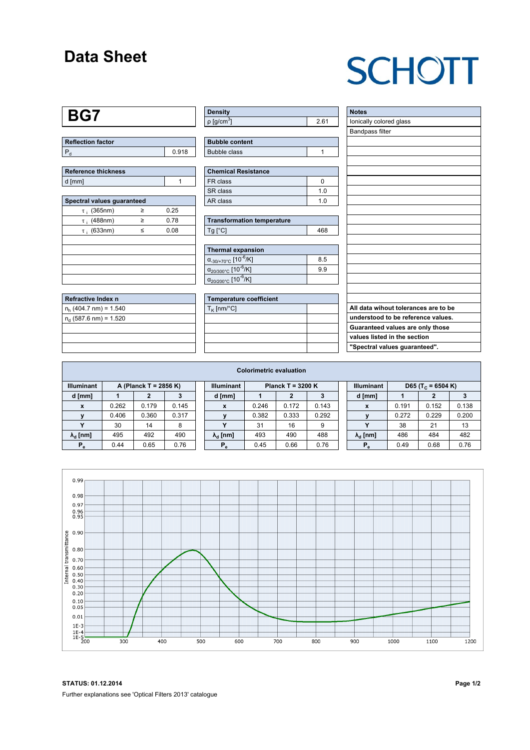## **Data Sheet**

# **SCHOTT**

#### **BG7**

| <b>Reflection factor</b> |       |
|--------------------------|-------|
|                          | 0.918 |

| Reference thickness |  |  |  |  |  |  |
|---------------------|--|--|--|--|--|--|
| d [mm]              |  |  |  |  |  |  |

| Spectral values guaranteed |   |      |  |  |  |  |  |  |  |
|----------------------------|---|------|--|--|--|--|--|--|--|
| $\tau_i$ (365nm)           | ≥ | 0.25 |  |  |  |  |  |  |  |
| $\tau$ ; (488nm)           | ≥ | 0.78 |  |  |  |  |  |  |  |
| $\tau$ ; (633nm)           | < | 0.08 |  |  |  |  |  |  |  |
|                            |   |      |  |  |  |  |  |  |  |
|                            |   |      |  |  |  |  |  |  |  |
|                            |   |      |  |  |  |  |  |  |  |
|                            |   |      |  |  |  |  |  |  |  |
|                            |   |      |  |  |  |  |  |  |  |

| <b>Refractive Index n</b> |  |
|---------------------------|--|
| $n_h$ (404.7 nm) = 1.540  |  |
| $n_a$ (587.6 nm) = 1.520  |  |
|                           |  |
|                           |  |
|                           |  |

| <b>Density</b>              |      |
|-----------------------------|------|
| $\rho$ [g/cm <sup>3</sup> ] | 2.61 |

| <b>Bubble content</b> |  |
|-----------------------|--|
| Bubble class          |  |

| <b>Chemical Resistance</b> |     |  |  |  |  |  |
|----------------------------|-----|--|--|--|--|--|
| FR class                   |     |  |  |  |  |  |
| SR class                   | 1 በ |  |  |  |  |  |
| AR class                   | 1 በ |  |  |  |  |  |

| <b>Transformation temperature</b> |     |
|-----------------------------------|-----|
| $Tg$ [ $^{\circ}$ C]              | 468 |

| Thermal expansion                                 |     |  |  |  |  |  |  |
|---------------------------------------------------|-----|--|--|--|--|--|--|
| $\alpha_{.30/+70\degree}$ C [10 <sup>-6</sup> /K] | 8.5 |  |  |  |  |  |  |
| $\alpha_{20/300^{\circ}C}$ [10 <sup>-6</sup> /K]  | 99  |  |  |  |  |  |  |
| $\alpha_{20/200^{\circ}C}$ [10 $\overline{6}$ /K] |     |  |  |  |  |  |  |

| <b>Temperature coefficient</b> |  |  |  |  |  |  |  |
|--------------------------------|--|--|--|--|--|--|--|
| $T_{\rm K}$ [nm/°C]            |  |  |  |  |  |  |  |
|                                |  |  |  |  |  |  |  |
|                                |  |  |  |  |  |  |  |
|                                |  |  |  |  |  |  |  |
|                                |  |  |  |  |  |  |  |

| <b>Notes</b>                         |
|--------------------------------------|
| Ionically colored glass              |
| <b>Bandpass filter</b>               |
|                                      |
|                                      |
|                                      |
|                                      |
|                                      |
|                                      |
|                                      |
|                                      |
|                                      |
|                                      |
|                                      |
|                                      |
|                                      |
|                                      |
|                                      |
|                                      |
|                                      |
| All data wihout tolerances are to be |
| understood to be reference values.   |
| Guaranteed values are only those     |
| values listed in the section         |
| "Spectral values guaranteed".        |

| <b>Colorimetric evaluation</b>             |       |       |       |                                          |                        |       |       |       |                   |                               |       |       |       |
|--------------------------------------------|-------|-------|-------|------------------------------------------|------------------------|-------|-------|-------|-------------------|-------------------------------|-------|-------|-------|
| <b>Illuminant</b><br>A (Planck T = 2856 K) |       |       |       | <b>Illuminant</b><br>Planck T = $3200 K$ |                        |       |       |       | <b>Illuminant</b> | D65 (T <sub>c</sub> = 6504 K) |       |       |       |
| d [mm]                                     |       | 2     |       |                                          | d [mm]                 |       |       | 3     |                   | d [mm]                        |       |       |       |
| X                                          | 0.262 | 0.179 | 0.145 |                                          | X                      | 0.246 | 0.172 | 0.143 |                   | X                             | 0.191 | 0.152 | 0.138 |
|                                            | 0.406 | 0.360 | 0.317 |                                          |                        | 0.382 | 0.333 | 0.292 |                   |                               | 0.272 | 0.229 | 0.200 |
|                                            | 30    | 14    | 8     |                                          |                        | 31    | 16    | 9     |                   |                               | 38    | 21    | 13    |
| $\lambda_{\rm d}$ [nm]                     | 495   | 492   | 490   |                                          | $\lambda_{\rm d}$ [nm] | 493   | 490   | 488   |                   | $\lambda_{\rm d}$ [nm]        | 486   | 484   | 482   |
| $P_e$                                      | 0.44  | 0.65  | 0.76  |                                          | $P_e$                  | 0.45  | 0.66  | 0.76  |                   | $P_e$                         | 0.49  | 0.68  | 0.76  |



**STATUS: 01.12.2014 Page 1/2** Further explanations see 'Optical Filters 2013' catalogue